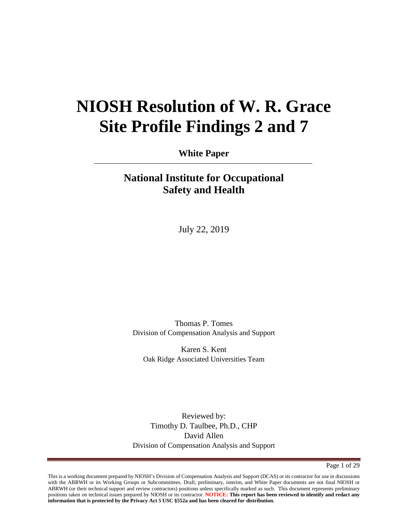# **NIOSH Resolution of W. R. Grace Site Profile Findings 2 and 7**

**White Paper**

# **National Institute for Occupational Safety and Health**

July 22, 2019

Thomas P. Tomes Division of Compensation Analysis and Support

Karen S. Kent Oak Ridge Associated Universities Team

Reviewed by: Timothy D. Taulbee, Ph.D., CHP David Allen Division of Compensation Analysis and Support

Page 1 of 29

This is a working document prepared by NIOSH's Division of Compensation Analysis and Support (DCAS) or its contractor for use in discussions with the ABRWH or its Working Groups or Subcommittees. Draft, preliminary, interim, and White Paper documents are not final NIOSH or ABRWH (or their technical support and review contractors) positions unless specifically marked as such. This document represents preliminary positions taken on technical issues prepared by NIOSH or its contractor. **NOTICE: This report has been reviewed to identify and redact any information that is protected by the Privacy Act 5 USC §552a and has been cleared for distribution**.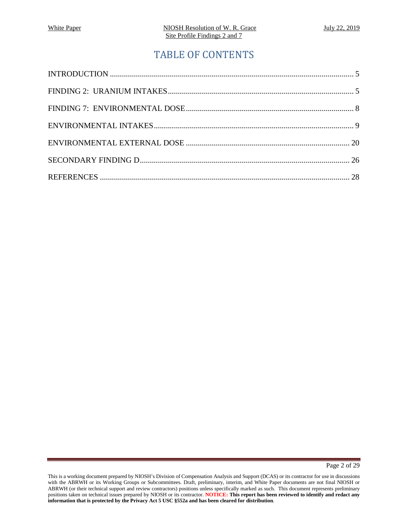# TABLE OF CONTENTS

Page 2 of 29

This is a working document prepared by NIOSH's Division of Compensation Analysis and Support (DCAS) or its contractor for use in discussions with the ABRWH or its Working Groups or Subcommittees. Draft, preliminary, interim, and White Paper documents are not final NIOSH or ABRWH (or their technical support and review contractors) positions unless specifically marked as such. This document represents preliminary positions taken on technical issues prepared by NIOSH or its contractor. **NOTICE: This report has been reviewed to identify and redact any information that is protected by the Privacy Act 5 USC §552a and has been cleared for distribution**.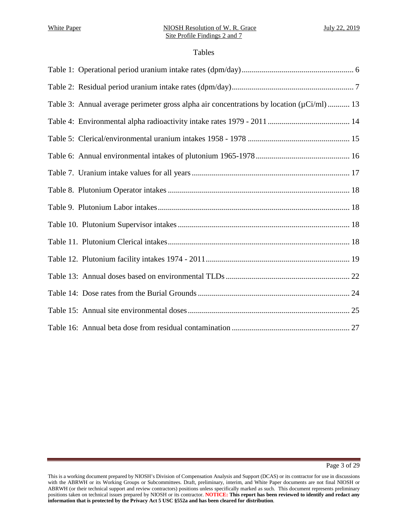### Tables

| Table 3: Annual average perimeter gross alpha air concentrations by location $(\mu Ci/ml)$ 13 |
|-----------------------------------------------------------------------------------------------|
|                                                                                               |
|                                                                                               |
|                                                                                               |
|                                                                                               |
|                                                                                               |
|                                                                                               |
|                                                                                               |
|                                                                                               |
|                                                                                               |
|                                                                                               |
|                                                                                               |
|                                                                                               |
|                                                                                               |

This is a working document prepared by NIOSH's Division of Compensation Analysis and Support (DCAS) or its contractor for use in discussions with the ABRWH or its Working Groups or Subcommittees. Draft, preliminary, interim, and White Paper documents are not final NIOSH or ABRWH (or their technical support and review contractors) positions unless specifically marked as such. This document represents preliminary positions taken on technical issues prepared by NIOSH or its contractor. **NOTICE: This report has been reviewed to identify and redact any information that is protected by the Privacy Act 5 USC §552a and has been cleared for distribution**.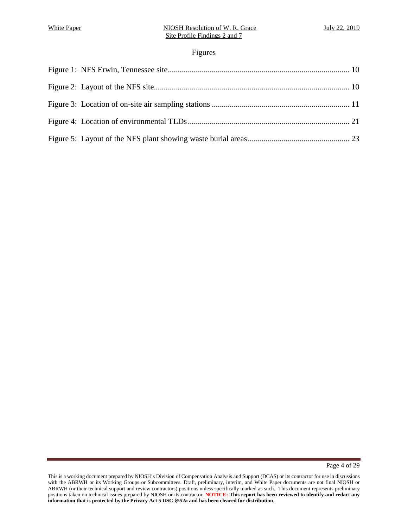# Figures

Page 4 of 29

This is a working document prepared by NIOSH's Division of Compensation Analysis and Support (DCAS) or its contractor for use in discussions with the ABRWH or its Working Groups or Subcommittees. Draft, preliminary, interim, and White Paper documents are not final NIOSH or ABRWH (or their technical support and review contractors) positions unless specifically marked as such. This document represents preliminary positions taken on technical issues prepared by NIOSH or its contractor. **NOTICE: This report has been reviewed to identify and redact any information that is protected by the Privacy Act 5 USC §552a and has been cleared for distribution**.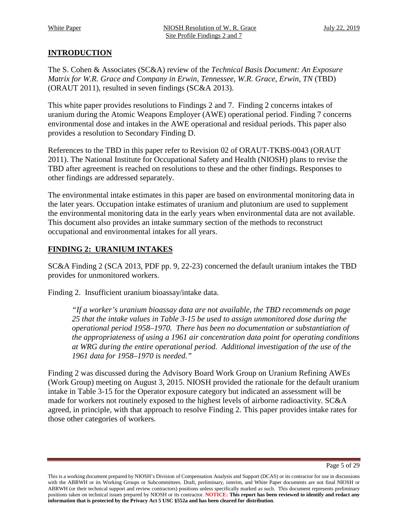# <span id="page-4-0"></span>**INTRODUCTION**

The S. Cohen & Associates (SC&A) review of the *Technical Basis Document: An Exposure Matrix for W.R. Grace and Company in Erwin, Tennessee*, *W.R. Grace, Erwin, TN* (TBD) (ORAUT 2011), resulted in seven findings (SC&A 2013).

This white paper provides resolutions to Findings 2 and 7. Finding 2 concerns intakes of uranium during the Atomic Weapons Employer (AWE) operational period. Finding 7 concerns environmental dose and intakes in the AWE operational and residual periods. This paper also provides a resolution to Secondary Finding D.

References to the TBD in this paper refer to Revision 02 of ORAUT-TKBS-0043 (ORAUT 2011). The National Institute for Occupational Safety and Health (NIOSH) plans to revise the TBD after agreement is reached on resolutions to these and the other findings. Responses to other findings are addressed separately.

The environmental intake estimates in this paper are based on environmental monitoring data in the later years. Occupation intake estimates of uranium and plutonium are used to supplement the environmental monitoring data in the early years when environmental data are not available. This document also provides an intake summary section of the methods to reconstruct occupational and environmental intakes for all years.

# <span id="page-4-1"></span>**FINDING 2: URANIUM INTAKES**

SC&A Finding 2 (SCA 2013, PDF pp. 9, 22-23) concerned the default uranium intakes the TBD provides for unmonitored workers.

Finding 2. Insufficient uranium bioassay/intake data.

*"If a worker's uranium bioassay data are not available, the TBD recommends on page 25 that the intake values in Table 3-15 be used to assign unmonitored dose during the operational period 1958–1970. There has been no documentation or substantiation of the appropriateness of using a 1961 air concentration data point for operating conditions at WRG during the entire operational period. Additional investigation of the use of the 1961 data for 1958–1970 is needed."* 

Finding 2 was discussed during the Advisory Board Work Group on Uranium Refining AWEs (Work Group) meeting on August 3, 2015. NIOSH provided the rationale for the default uranium intake in Table 3-15 for the Operator exposure category but indicated an assessment will be made for workers not routinely exposed to the highest levels of airborne radioactivity. SC&A agreed, in principle, with that approach to resolve Finding 2. This paper provides intake rates for those other categories of workers.

Page 5 of 29

This is a working document prepared by NIOSH's Division of Compensation Analysis and Support (DCAS) or its contractor for use in discussions with the ABRWH or its Working Groups or Subcommittees. Draft, preliminary, interim, and White Paper documents are not final NIOSH or ABRWH (or their technical support and review contractors) positions unless specifically marked as such. This document represents preliminary positions taken on technical issues prepared by NIOSH or its contractor. **NOTICE: This report has been reviewed to identify and redact any information that is protected by the Privacy Act 5 USC §552a and has been cleared for distribution**.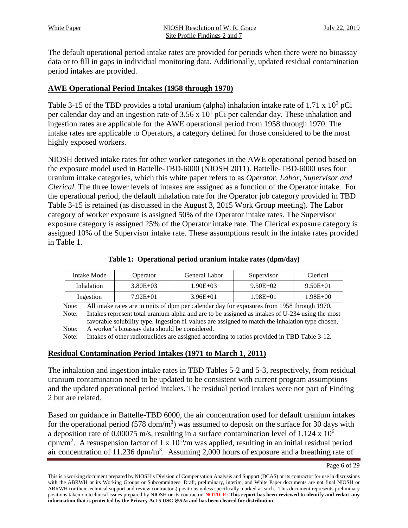The default operational period intake rates are provided for periods when there were no bioassay data or to fill in gaps in individual monitoring data. Additionally, updated residual contamination period intakes are provided.

# **AWE Operational Period Intakes (1958 through 1970)**

Table 3-15 of the TBD provides a total uranium (alpha) inhalation intake rate of 1.71 x  $10^3$  pCi per calendar day and an ingestion rate of  $3.56 \times 10^{1}$  pCi per calendar day. These inhalation and ingestion rates are applicable for the AWE operational period from 1958 through 1970. The intake rates are applicable to Operators, a category defined for those considered to be the most highly exposed workers.

NIOSH derived intake rates for other worker categories in the AWE operational period based on the exposure model used in Battelle-TBD-6000 (NIOSH 2011). Battelle-TBD-6000 uses four uranium intake categories, which this white paper refers to as *Operator, Labor, Supervisor and Clerical*. The three lower levels of intakes are assigned as a function of the Operator intake. For the operational period, the default inhalation rate for the Operator job category provided in TBD Table 3-15 is retained (as discussed in the August 3, 2015 Work Group meeting). The Labor category of worker exposure is assigned 50% of the Operator intake rates. The Supervisor exposure category is assigned 25% of the Operator intake rate. The Clerical exposure category is assigned 10% of the Supervisor intake rate. These assumptions result in the intake rates provided in Table 1.

|  | Table 1: Operational period uranium intake rates (dpm/day) |  |  |  |  |  |  |
|--|------------------------------------------------------------|--|--|--|--|--|--|
|--|------------------------------------------------------------|--|--|--|--|--|--|

<span id="page-5-0"></span>

| Intake Mode | Operator     | General Labor | Supervisor   | Clerical     |
|-------------|--------------|---------------|--------------|--------------|
| Inhalation  | $3.80E + 03$ | 1.90E+03      | $9.50E + 02$ | $9.50E + 01$ |
| Ingestion   | $7.92E + 01$ | $3.96E + 01$  | 1.98E+01     | $1.98E + 00$ |

Note: All intake rates are in units of dpm per calendar day for exposures from 1958 through 1970. Note: Intakes represent total uranium alpha and are to be assigned as intakes of U-234 using the most favorable solubility type. Ingestion f1 values are assigned to match the inhalation type chosen. Note: A worker's bioassay data should be considered.

Note: Intakes of other radionuclides are assigned according to ratios provided in TBD Table 3-12.

# **Residual Contamination Period Intakes (1971 to March 1, 2011)**

The inhalation and ingestion intake rates in TBD Tables 5-2 and 5-3, respectively, from residual uranium contamination need to be updated to be consistent with current program assumptions and the updated operational period intakes. The residual period intakes were not part of Finding 2 but are related.

Based on guidance in Battelle-TBD 6000, the air concentration used for default uranium intakes for the operational period (578 dpm/m<sup>3</sup>) was assumed to deposit on the surface for 30 days with a deposition rate of 0.00075 m/s, resulting in a surface contamination level of 1.124 x 106  $\text{dpm/m}^2$ . A resuspension factor of 1 x 10<sup>-5</sup>/m was applied, resulting in an initial residual period air concentration of 11.236  $dpm/m<sup>3</sup>$ . Assuming 2,000 hours of exposure and a breathing rate of

This is a working document prepared by NIOSH's Division of Compensation Analysis and Support (DCAS) or its contractor for use in discussions with the ABRWH or its Working Groups or Subcommittees. Draft, preliminary, interim, and White Paper documents are not final NIOSH or ABRWH (or their technical support and review contractors) positions unless specifically marked as such. This document represents preliminary positions taken on technical issues prepared by NIOSH or its contractor. **NOTICE: This report has been reviewed to identify and redact any information that is protected by the Privacy Act 5 USC §552a and has been cleared for distribution**.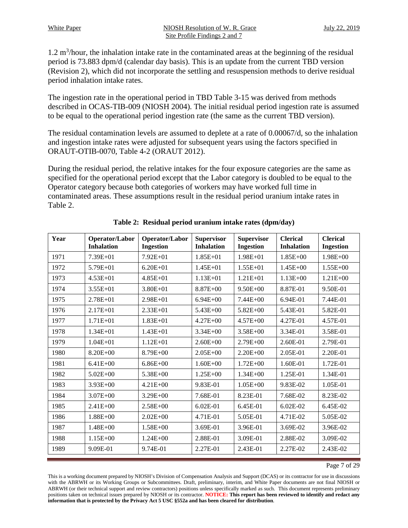$1.2 \text{ m}^3$ /hour, the inhalation intake rate in the contaminated areas at the beginning of the residual period is 73.883 dpm/d (calendar day basis). This is an update from the current TBD version (Revision 2), which did not incorporate the settling and resuspension methods to derive residual period inhalation intake rates.

The ingestion rate in the operational period in TBD Table 3-15 was derived from methods described in OCAS-TIB-009 (NIOSH 2004). The initial residual period ingestion rate is assumed to be equal to the operational period ingestion rate (the same as the current TBD version).

The residual contamination levels are assumed to deplete at a rate of 0.00067/d, so the inhalation and ingestion intake rates were adjusted for subsequent years using the factors specified in ORAUT-OTIB-0070, Table 4-2 (ORAUT 2012).

During the residual period, the relative intakes for the four exposure categories are the same as specified for the operational period except that the Labor category is doubled to be equal to the Operator category because both categories of workers may have worked full time in contaminated areas. These assumptions result in the residual period uranium intake rates in Table 2.

<span id="page-6-0"></span>

| Year | Operator/Labor<br><b>Inhalation</b> | Operator/Labor<br><b>Ingestion</b> | <b>Supervisor</b><br><b>Inhalation</b> | <b>Supervisor</b><br><b>Ingestion</b> | <b>Clerical</b><br><b>Inhalation</b> | <b>Clerical</b><br><b>Ingestion</b> |
|------|-------------------------------------|------------------------------------|----------------------------------------|---------------------------------------|--------------------------------------|-------------------------------------|
| 1971 | $7.39E + 01$                        | $7.92E + 01$                       | $1.85E + 01$                           | $1.98E + 01$                          | $1.85E + 00$                         | $1.98E + 00$                        |
| 1972 | $5.79E + 01$                        | $6.20E + 01$                       | $1.45E + 01$                           | $1.55E + 01$                          | $1.45E + 00$                         | $1.55E+00$                          |
| 1973 | $4.53E + 01$                        | $4.85E + 01$                       | $1.13E + 01$                           | $1.21E + 01$                          | $1.13E + 00$                         | $1.21E + 00$                        |
| 1974 | $3.55E + 01$                        | $3.80E + 01$                       | 8.87E+00                               | $9.50E + 00$                          | 8.87E-01                             | 9.50E-01                            |
| 1975 | 2.78E+01                            | $2.98E + 01$                       | $6.94E + 00$                           | 7.44E+00                              | 6.94E-01                             | 7.44E-01                            |
| 1976 | $2.17E + 01$                        | $2.33E + 01$                       | 5.43E+00                               | $5.82E + 00$                          | 5.43E-01                             | 5.82E-01                            |
| 1977 | $1.71E + 01$                        | $1.83E + 01$                       | $4.27E + 00$                           | $4.57E + 00$                          | 4.27E-01                             | 4.57E-01                            |
| 1978 | $1.34E + 01$                        | $1.43E + 01$                       | $3.34E + 00$                           | $3.58E + 00$                          | 3.34E-01                             | 3.58E-01                            |
| 1979 | $1.04E + 01$                        | $1.12E + 01$                       | $2.60E + 00$                           | $2.79E + 00$                          | 2.60E-01                             | 2.79E-01                            |
| 1980 | $8.20E + 00$                        | $8.79E + 00$                       | $2.05E + 00$                           | $2.20E + 00$                          | 2.05E-01                             | 2.20E-01                            |
| 1981 | $6.41E + 00$                        | $6.86E + 00$                       | $1.60E + 00$                           | $1.72E + 00$                          | 1.60E-01                             | 1.72E-01                            |
| 1982 | $5.02E + 00$                        | $5.38E + 00$                       | $1.25E + 00$                           | $1.34E + 00$                          | 1.25E-01                             | 1.34E-01                            |
| 1983 | $3.93E + 00$                        | $4.21E + 00$                       | 9.83E-01                               | $1.05E + 00$                          | 9.83E-02                             | 1.05E-01                            |
| 1984 | $3.07E + 00$                        | $3.29E + 00$                       | 7.68E-01                               | 8.23E-01                              | 7.68E-02                             | 8.23E-02                            |
| 1985 | $2.41E + 00$                        | $2.58E + 00$                       | 6.02E-01                               | 6.45E-01                              | $6.02E-02$                           | 6.45E-02                            |
| 1986 | $1.88E + 00$                        | $2.02E + 00$                       | 4.71E-01                               | 5.05E-01                              | 4.71E-02                             | 5.05E-02                            |
| 1987 | $1.48E + 00$                        | $1.58E + 00$                       | 3.69E-01                               | 3.96E-01                              | 3.69E-02                             | 3.96E-02                            |
| 1988 | $1.15E + 00$                        | $1.24E + 00$                       | 2.88E-01                               | 3.09E-01                              | 2.88E-02                             | 3.09E-02                            |
| 1989 | 9.09E-01                            | 9.74E-01                           | 2.27E-01                               | 2.43E-01                              | 2.27E-02                             | 2.43E-02                            |

**Table 2: Residual period uranium intake rates (dpm/day)**

Page 7 of 29

This is a working document prepared by NIOSH's Division of Compensation Analysis and Support (DCAS) or its contractor for use in discussions with the ABRWH or its Working Groups or Subcommittees. Draft, preliminary, interim, and White Paper documents are not final NIOSH or ABRWH (or their technical support and review contractors) positions unless specifically marked as such. This document represents preliminary positions taken on technical issues prepared by NIOSH or its contractor. **NOTICE: This report has been reviewed to identify and redact any information that is protected by the Privacy Act 5 USC §552a and has been cleared for distribution**.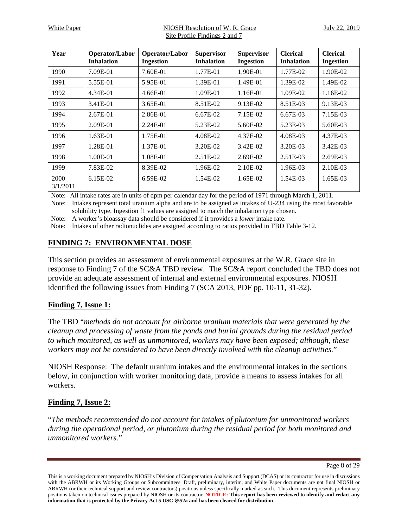White Paper The MIOSH Resolution of W. R. Grace The July 22, 2019 Site Profile Findings 2 and 7

| Year             | Operator/Labor<br><b>Inhalation</b> | Operator/Labor<br><b>Ingestion</b> | <b>Supervisor</b><br><b>Inhalation</b> | <b>Supervisor</b><br><b>Ingestion</b> | <b>Clerical</b><br><b>Inhalation</b> | <b>Clerical</b><br><b>Ingestion</b> |
|------------------|-------------------------------------|------------------------------------|----------------------------------------|---------------------------------------|--------------------------------------|-------------------------------------|
| 1990             | 7.09E-01                            | 7.60E-01                           | 1.77E-01                               | 1.90E-01                              | 1.77E-02                             | 1.90E-02                            |
| 1991             | 5.55E-01                            | 5.95E-01                           | 1.39E-01                               | 1.49E-01                              | 1.39E-02                             | 1.49E-02                            |
| 1992             | 4.34E-01                            | 4.66E-01                           | 1.09E-01                               | 1.16E-01                              | 1.09E-02                             | 1.16E-02                            |
| 1993             | 3.41E-01                            | 3.65E-01                           | 8.51E-02                               | 9.13E-02                              | 8.51E-03                             | 9.13E-03                            |
| 1994             | $2.67E-01$                          | 2.86E-01                           | $6.67E-02$                             | 7.15E-02                              | $6.67E-03$                           | 7.15E-03                            |
| 1995             | 2.09E-01                            | 2.24E-01                           | 5.23E-02                               | 5.60E-02                              | 5.23E-03                             | 5.60E-03                            |
| 1996             | $1.63E-01$                          | 1.75E-01                           | 4.08E-02                               | 4.37E-02                              | 4.08E-03                             | 4.37E-03                            |
| 1997             | 1.28E-01                            | 1.37E-01                           | 3.20E-02                               | 3.42E-02                              | 3.20E-03                             | 3.42E-03                            |
| 1998             | 1.00E-01                            | 1.08E-01                           | $2.51E-02$                             | 2.69E-02                              | 2.51E-03                             | 2.69E-03                            |
| 1999             | 7.83E-02                            | 8.39E-02                           | 1.96E-02                               | 2.10E-02                              | 1.96E-03                             | 2.10E-03                            |
| 2000<br>3/1/2011 | $6.15E-02$                          | $6.59E-02$                         | 1.54E-02                               | 1.65E-02                              | 1.54E-03                             | 1.65E-03                            |

Note: All intake rates are in units of dpm per calendar day for the period of 1971 through March 1, 2011.

Note: Intakes represent total uranium alpha and are to be assigned as intakes of U-234 using the most favorable solubility type. Ingestion f1 values are assigned to match the inhalation type chosen.

Note: A worker's bioassay data should be considered if it provides a *lower* intake rate.

Note: Intakes of other radionuclides are assigned according to ratios provided in TBD Table 3-12.

# <span id="page-7-0"></span>**FINDING 7: ENVIRONMENTAL DOSE**

This section provides an assessment of environmental exposures at the W.R. Grace site in response to Finding 7 of the SC&A TBD review. The SC&A report concluded the TBD does not provide an adequate assessment of internal and external environmental exposures. NIOSH identified the following issues from Finding 7 (SCA 2013, PDF pp. 10-11, 31-32).

# **Finding 7, Issue 1:**

The TBD "*methods do not account for airborne uranium materials that were generated by the cleanup and processing of waste from the ponds and burial grounds during the residual period to which monitored, as well as unmonitored, workers may have been exposed; although, these workers may not be considered to have been directly involved with the cleanup activities.*"

NIOSH Response: The default uranium intakes and the environmental intakes in the sections below, in conjunction with worker monitoring data, provide a means to assess intakes for all workers.

# **Finding 7, Issue 2:**

"*The methods recommended do not account for intakes of plutonium for unmonitored workers during the operational period, or plutonium during the residual period for both monitored and unmonitored workers.*"

Page 8 of 29

This is a working document prepared by NIOSH's Division of Compensation Analysis and Support (DCAS) or its contractor for use in discussions with the ABRWH or its Working Groups or Subcommittees. Draft, preliminary, interim, and White Paper documents are not final NIOSH or ABRWH (or their technical support and review contractors) positions unless specifically marked as such. This document represents preliminary positions taken on technical issues prepared by NIOSH or its contractor. **NOTICE: This report has been reviewed to identify and redact any information that is protected by the Privacy Act 5 USC §552a and has been cleared for distribution**.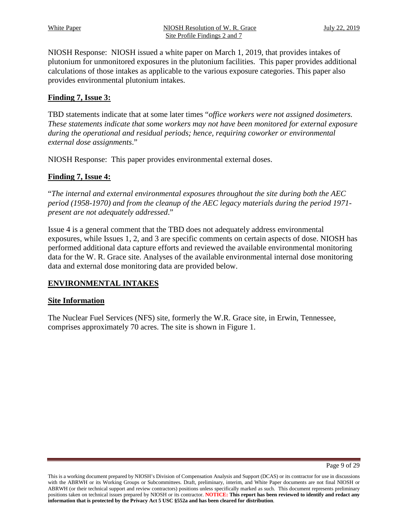NIOSH Response: NIOSH issued a white paper on March 1, 2019, that provides intakes of plutonium for unmonitored exposures in the plutonium facilities. This paper provides additional calculations of those intakes as applicable to the various exposure categories. This paper also provides environmental plutonium intakes.

# **Finding 7, Issue 3:**

TBD statements indicate that at some later times "*office workers were not assigned dosimeters. These statements indicate that some workers may not have been monitored for external exposure during the operational and residual periods; hence, requiring coworker or environmental external dose assignments*."

NIOSH Response: This paper provides environmental external doses.

# **Finding 7, Issue 4:**

"*The internal and external environmental exposures throughout the site during both the AEC period (1958-1970) and from the cleanup of the AEC legacy materials during the period 1971 present are not adequately addressed*."

Issue 4 is a general comment that the TBD does not adequately address environmental exposures, while Issues 1, 2, and 3 are specific comments on certain aspects of dose. NIOSH has performed additional data capture efforts and reviewed the available environmental monitoring data for the W. R. Grace site. Analyses of the available environmental internal dose monitoring data and external dose monitoring data are provided below.

# <span id="page-8-0"></span>**ENVIRONMENTAL INTAKES**

# **Site Information**

The Nuclear Fuel Services (NFS) site, formerly the W.R. Grace site, in Erwin, Tennessee, comprises approximately 70 acres. The site is shown in Figure 1.

Page 9 of 29

This is a working document prepared by NIOSH's Division of Compensation Analysis and Support (DCAS) or its contractor for use in discussions with the ABRWH or its Working Groups or Subcommittees. Draft, preliminary, interim, and White Paper documents are not final NIOSH or ABRWH (or their technical support and review contractors) positions unless specifically marked as such. This document represents preliminary positions taken on technical issues prepared by NIOSH or its contractor. **NOTICE: This report has been reviewed to identify and redact any information that is protected by the Privacy Act 5 USC §552a and has been cleared for distribution**.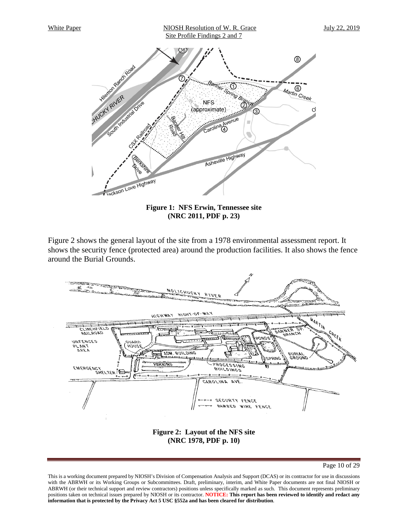

**Figure 1: NFS Erwin, Tennessee site (NRC 2011, PDF p. 23)** 

<span id="page-9-0"></span>Figure 2 shows the general layout of the site from a 1978 environmental assessment report. It shows the security fence (protected area) around the production facilities. It also shows the fence around the Burial Grounds.



Page 10 of 29

<span id="page-9-1"></span>This is a working document prepared by NIOSH's Division of Compensation Analysis and Support (DCAS) or its contractor for use in discussions with the ABRWH or its Working Groups or Subcommittees. Draft, preliminary, interim, and White Paper documents are not final NIOSH or ABRWH (or their technical support and review contractors) positions unless specifically marked as such. This document represents preliminary positions taken on technical issues prepared by NIOSH or its contractor. **NOTICE: This report has been reviewed to identify and redact any information that is protected by the Privacy Act 5 USC §552a and has been cleared for distribution**.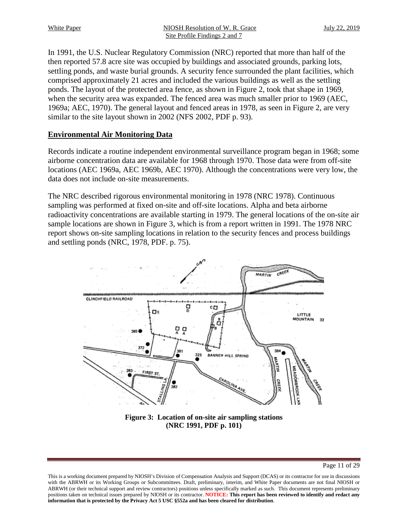White Paper MIOSH Resolution of W. R. Grace July 22, 2019 Site Profile Findings 2 and 7

In 1991, the U.S. Nuclear Regulatory Commission (NRC) reported that more than half of the then reported 57.8 acre site was occupied by buildings and associated grounds, parking lots, settling ponds, and waste burial grounds. A security fence surrounded the plant facilities, which comprised approximately 21 acres and included the various buildings as well as the settling ponds. The layout of the protected area fence, as shown in Figure 2, took that shape in 1969, when the security area was expanded. The fenced area was much smaller prior to 1969 (AEC, 1969a; AEC, 1970). The general layout and fenced areas in 1978, as seen in Figure 2, are very similar to the site layout shown in 2002 (NFS 2002, PDF p. 93).

#### **Environmental Air Monitoring Data**

Records indicate a routine independent environmental surveillance program began in 1968; some airborne concentration data are available for 1968 through 1970. Those data were from off-site locations (AEC 1969a, AEC 1969b, AEC 1970). Although the concentrations were very low, the data does not include on-site measurements.

The NRC described rigorous environmental monitoring in 1978 (NRC 1978). Continuous sampling was performed at fixed on-site and off-site locations. Alpha and beta airborne radioactivity concentrations are available starting in 1979. The general locations of the on-site air sample locations are shown in Figure 3, which is from a report written in 1991. The 1978 NRC report shows on-site sampling locations in relation to the security fences and process buildings and settling ponds (NRC, 1978, PDF. p. 75).



**Figure 3: Location of on-site air sampling stations (NRC 1991, PDF p. 101)** 

<span id="page-10-0"></span>This is a working document prepared by NIOSH's Division of Compensation Analysis and Support (DCAS) or its contractor for use in discussions with the ABRWH or its Working Groups or Subcommittees. Draft, preliminary, interim, and White Paper documents are not final NIOSH or ABRWH (or their technical support and review contractors) positions unless specifically marked as such. This document represents preliminary positions taken on technical issues prepared by NIOSH or its contractor. **NOTICE: This report has been reviewed to identify and redact any information that is protected by the Privacy Act 5 USC §552a and has been cleared for distribution**.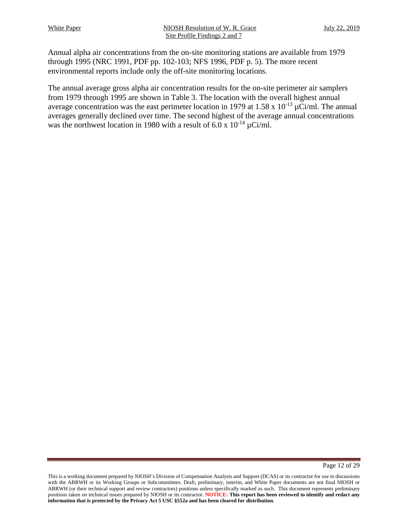Annual alpha air concentrations from the on-site monitoring stations are available from 1979 through 1995 (NRC 1991, PDF pp. 102-103; NFS 1996, PDF p. 5). The more recent environmental reports include only the off-site monitoring locations.

The annual average gross alpha air concentration results for the on-site perimeter air samplers from 1979 through 1995 are shown in Table 3. The location with the overall highest annual average concentration was the east perimeter location in 1979 at 1.58 x  $10^{-13} \mu$ Ci/ml. The annual averages generally declined over time. The second highest of the average annual concentrations was the northwest location in 1980 with a result of 6.0 x  $10^{-14} \mu$ Ci/ml.

Page 12 of 29

This is a working document prepared by NIOSH's Division of Compensation Analysis and Support (DCAS) or its contractor for use in discussions with the ABRWH or its Working Groups or Subcommittees. Draft, preliminary, interim, and White Paper documents are not final NIOSH or ABRWH (or their technical support and review contractors) positions unless specifically marked as such. This document represents preliminary positions taken on technical issues prepared by NIOSH or its contractor. **NOTICE: This report has been reviewed to identify and redact any information that is protected by the Privacy Act 5 USC §552a and has been cleared for distribution**.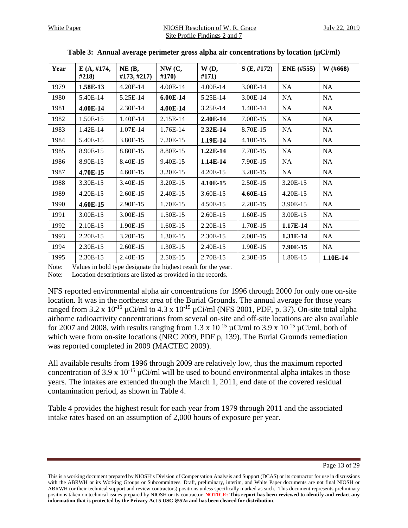<span id="page-12-0"></span>

| Year | E(A, #174,<br>#218) | NE(B,<br>#173, #217) | NW(C,<br>#170) | W(D,<br>#171) | S(E, #172) | <b>ENE</b> (#555) | W (#668)  |
|------|---------------------|----------------------|----------------|---------------|------------|-------------------|-----------|
| 1979 | 1.58E-13            | 4.20E-14             | 4.00E-14       | 4.00E-14      | 3.00E-14   | NA                | NA        |
| 1980 | 5.40E-14            | 5.25E-14             | 6.00E-14       | 5.25E-14      | 3.00E-14   | NA                | NA        |
| 1981 | 4.00E-14            | 2.30E-14             | 4.00E-14       | 3.25E-14      | 1.40E-14   | NA                | NA        |
| 1982 | 1.50E-15            | 1.40E-14             | 2.15E-14       | 2.40E-14      | 7.00E-15   | NA                | NA        |
| 1983 | 1.42E-14            | 1.07E-14             | 1.76E-14       | 2.32E-14      | 8.70E-15   | NA                | NA        |
| 1984 | 5.40E-15            | 3.80E-15             | 7.20E-15       | 1.19E-14      | 4.10E-15   | NA                | NA        |
| 1985 | 8.90E-15            | 8.80E-15             | 8.80E-15       | $1.22E-14$    | 7.70E-15   | NA                | NA        |
| 1986 | 8.90E-15            | 8.40E-15             | 9.40E-15       | 1.14E-14      | 7.90E-15   | NA                | NA        |
| 1987 | 4.70E-15            | 4.60E-15             | 3.20E-15       | 4.20E-15      | 3.20E-15   | NA                | NA        |
| 1988 | 3.30E-15            | 3.40E-15             | 3.20E-15       | 4.10E-15      | 2.50E-15   | 3.20E-15          | NA        |
| 1989 | 4.20E-15            | 2.60E-15             | 2.40E-15       | 3.60E-15      | 4.60E-15   | 4.20E-15          | NA        |
| 1990 | 4.60E-15            | 2.90E-15             | 1.70E-15       | 4.50E-15      | 2.20E-15   | 3.90E-15          | NA        |
| 1991 | 3.00E-15            | 3.00E-15             | 1.50E-15       | 2.60E-15      | 1.60E-15   | 3.00E-15          | <b>NA</b> |
| 1992 | 2.10E-15            | 1.90E-15             | 1.60E-15       | 2.20E-15      | 1.70E-15   | 1.17E-14          | NA        |
| 1993 | 2.20E-15            | 3.20E-15             | 1.30E-15       | 2.30E-15      | 2.00E-15   | 1.31E-14          | <b>NA</b> |
| 1994 | 2.30E-15            | 2.60E-15             | 1.30E-15       | 2.40E-15      | 1.90E-15   | 7.90E-15          | <b>NA</b> |
| 1995 | 2.30E-15            | 2.40E-15             | 2.50E-15       | 2.70E-15      | 2.30E-15   | 1.80E-15          | 1.10E-14  |

|  |  |  | Table 3: Annual average perimeter gross alpha air concentrations by location $(\mu\mathrm{Ci/ml})$ |  |  |
|--|--|--|----------------------------------------------------------------------------------------------------|--|--|
|  |  |  |                                                                                                    |  |  |

Note: Values in bold type designate the highest result for the year.

Note: Location descriptions are listed as provided in the records.

NFS reported environmental alpha air concentrations for 1996 through 2000 for only one on-site location. It was in the northeast area of the Burial Grounds. The annual average for those years ranged from 3.2 x  $10^{-15}$  µCi/ml to 4.3 x  $10^{-15}$  µCi/ml (NFS 2001, PDF, p. 37). On-site total alpha airborne radioactivity concentrations from several on-site and off-site locations are also available for 2007 and 2008, with results ranging from 1.3 x  $10^{-15}$   $\mu$ Ci/ml to 3.9 x  $10^{-15}$   $\mu$ Ci/ml, both of which were from on-site locations (NRC 2009, PDF p, 139). The Burial Grounds remediation was reported completed in 2009 (MACTEC 2009).

All available results from 1996 through 2009 are relatively low, thus the maximum reported concentration of 3.9 x  $10^{-15}$   $\mu$ Ci/ml will be used to bound environmental alpha intakes in those years. The intakes are extended through the March 1, 2011, end date of the covered residual contamination period, as shown in Table 4.

Table 4 provides the highest result for each year from 1979 through 2011 and the associated intake rates based on an assumption of 2,000 hours of exposure per year.

Page 13 of 29

This is a working document prepared by NIOSH's Division of Compensation Analysis and Support (DCAS) or its contractor for use in discussions with the ABRWH or its Working Groups or Subcommittees. Draft, preliminary, interim, and White Paper documents are not final NIOSH or ABRWH (or their technical support and review contractors) positions unless specifically marked as such. This document represents preliminary positions taken on technical issues prepared by NIOSH or its contractor. **NOTICE: This report has been reviewed to identify and redact any information that is protected by the Privacy Act 5 USC §552a and has been cleared for distribution**.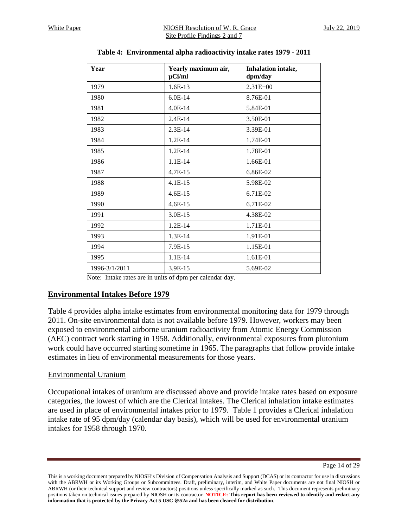<span id="page-13-0"></span>

| Year          | Yearly maximum air,<br>$\mu$ Ci/ml | Inhalation intake,<br>dpm/day |
|---------------|------------------------------------|-------------------------------|
| 1979          | 1.6E-13                            | $2.31E + 00$                  |
| 1980          | $6.0E-14$                          | 8.76E-01                      |
| 1981          | $4.0E-14$                          | 5.84E-01                      |
| 1982          | $2.4E-14$                          | 3.50E-01                      |
| 1983          | 2.3E-14                            | 3.39E-01                      |
| 1984          | $1.2E-14$                          | 1.74E-01                      |
| 1985          | $1.2E-14$                          | 1.78E-01                      |
| 1986          | $1.1E-14$                          | 1.66E-01                      |
| 1987          | $4.7E-15$                          | 6.86E-02                      |
| 1988          | 4.1E-15                            | 5.98E-02                      |
| 1989          | $4.6E-15$                          | 6.71E-02                      |
| 1990          | 4.6E-15                            | 6.71E-02                      |
| 1991          | $3.0E-15$                          | 4.38E-02                      |
| 1992          | 1.2E-14                            | 1.71E-01                      |
| 1993          | 1.3E-14                            | 1.91E-01                      |
| 1994          | 7.9E-15                            | 1.15E-01                      |
| 1995          | $1.1E-14$                          | 1.61E-01                      |
| 1996-3/1/2011 | 3.9E-15                            | 5.69E-02                      |

**Table 4: Environmental alpha radioactivity intake rates 1979 - 2011** 

Note: Intake rates are in units of dpm per calendar day.

# **Environmental Intakes Before 1979**

Table 4 provides alpha intake estimates from environmental monitoring data for 1979 through 2011. On-site environmental data is not available before 1979. However, workers may been exposed to environmental airborne uranium radioactivity from Atomic Energy Commission (AEC) contract work starting in 1958. Additionally, environmental exposures from plutonium work could have occurred starting sometime in 1965. The paragraphs that follow provide intake estimates in lieu of environmental measurements for those years.

# Environmental Uranium

Occupational intakes of uranium are discussed above and provide intake rates based on exposure categories, the lowest of which are the Clerical intakes. The Clerical inhalation intake estimates are used in place of environmental intakes prior to 1979. Table 1 provides a Clerical inhalation intake rate of 95 dpm/day (calendar day basis), which will be used for environmental uranium intakes for 1958 through 1970.

Page 14 of 29

This is a working document prepared by NIOSH's Division of Compensation Analysis and Support (DCAS) or its contractor for use in discussions with the ABRWH or its Working Groups or Subcommittees. Draft, preliminary, interim, and White Paper documents are not final NIOSH or ABRWH (or their technical support and review contractors) positions unless specifically marked as such. This document represents preliminary positions taken on technical issues prepared by NIOSH or its contractor. **NOTICE: This report has been reviewed to identify and redact any information that is protected by the Privacy Act 5 USC §552a and has been cleared for distribution**.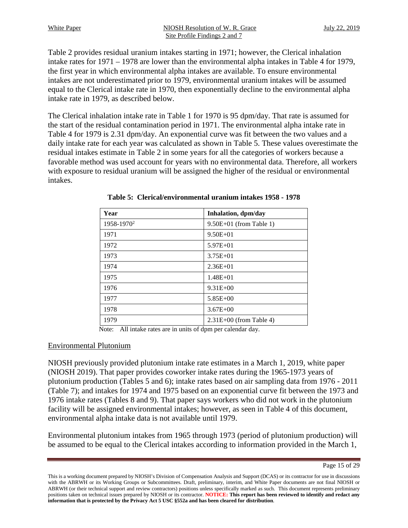White Paper MIOSH Resolution of W. R. Grace July 22, 2019 Site Profile Findings 2 and 7

Table 2 provides residual uranium intakes starting in 1971; however, the Clerical inhalation intake rates for 1971 – 1978 are lower than the environmental alpha intakes in Table 4 for 1979, the first year in which environmental alpha intakes are available. To ensure environmental intakes are not underestimated prior to 1979, environmental uranium intakes will be assumed equal to the Clerical intake rate in 1970, then exponentially decline to the environmental alpha intake rate in 1979, as described below.

The Clerical inhalation intake rate in Table 1 for 1970 is 95 dpm/day. That rate is assumed for the start of the residual contamination period in 1971. The environmental alpha intake rate in Table 4 for 1979 is 2.31 dpm/day. An exponential curve was fit between the two values and a daily intake rate for each year was calculated as shown in Table 5. These values overestimate the residual intakes estimate in Table 2 in some years for all the categories of workers because a favorable method was used account for years with no environmental data. Therefore, all workers with exposure to residual uranium will be assigned the higher of the residual or environmental intakes.

<span id="page-14-0"></span>

| Year                   | Inhalation, dpm/day       |
|------------------------|---------------------------|
| 1958-1970 <sup>2</sup> | $9.50E+01$ (from Table 1) |
| 1971                   | $9.50E + 01$              |
| 1972                   | $5.97E + 01$              |
| 1973                   | $3.75E + 01$              |
| 1974                   | $2.36E + 01$              |
| 1975                   | $1.48E + 01$              |
| 1976                   | $9.31E + 00$              |
| 1977                   | $5.85E+00$                |
| 1978                   | $3.67E + 00$              |
| 1979                   | $2.31E+00$ (from Table 4) |

**Table 5: Clerical/environmental uranium intakes 1958 - 1978** 

Note: All intake rates are in units of dpm per calendar day.

#### Environmental Plutonium

NIOSH previously provided plutonium intake rate estimates in a March 1, 2019, white paper (NIOSH 2019). That paper provides coworker intake rates during the 1965-1973 years of plutonium production (Tables 5 and 6); intake rates based on air sampling data from 1976 - 2011 (Table 7); and intakes for 1974 and 1975 based on an exponential curve fit between the 1973 and 1976 intake rates (Tables 8 and 9). That paper says workers who did not work in the plutonium facility will be assigned environmental intakes; however, as seen in Table 4 of this document, environmental alpha intake data is not available until 1979.

Environmental plutonium intakes from 1965 through 1973 (period of plutonium production) will be assumed to be equal to the Clerical intakes according to information provided in the March 1,

Page 15 of 29

This is a working document prepared by NIOSH's Division of Compensation Analysis and Support (DCAS) or its contractor for use in discussions with the ABRWH or its Working Groups or Subcommittees. Draft, preliminary, interim, and White Paper documents are not final NIOSH or ABRWH (or their technical support and review contractors) positions unless specifically marked as such. This document represents preliminary positions taken on technical issues prepared by NIOSH or its contractor. **NOTICE: This report has been reviewed to identify and redact any information that is protected by the Privacy Act 5 USC §552a and has been cleared for distribution**.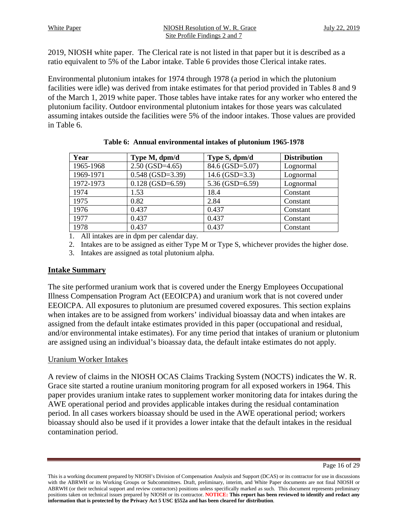2019, NIOSH white paper. The Clerical rate is not listed in that paper but it is described as a ratio equivalent to 5% of the Labor intake. Table 6 provides those Clerical intake rates.

Environmental plutonium intakes for 1974 through 1978 (a period in which the plutonium facilities were idle) was derived from intake estimates for that period provided in Tables 8 and 9 of the March 1, 2019 white paper. Those tables have intake rates for any worker who entered the plutonium facility. Outdoor environmental plutonium intakes for those years was calculated assuming intakes outside the facilities were 5% of the indoor intakes. Those values are provided in Table 6.

<span id="page-15-0"></span>

| Year      | Type M, dpm/d      | Type S, dpm/d       | <b>Distribution</b> |
|-----------|--------------------|---------------------|---------------------|
| 1965-1968 | $2.50(GSD=4.65)$   | 84.6 (GSD=5.07)     | Lognormal           |
| 1969-1971 | $0.548$ (GSD=3.39) | $14.6$ (GSD=3.3)    | Lognormal           |
| 1972-1973 | $0.128$ (GSD=6.59) | 5.36 (GSD= $6.59$ ) | Lognormal           |
| 1974      | 1.53               | 18.4                | Constant            |
| 1975      | 0.82               | 2.84                | Constant            |
| 1976      | 0.437              | 0.437               | Constant            |
| 1977      | 0.437              | 0.437               | Constant            |
| 1978      | 0.437              | 0.437               | Constant            |

|  |  | Table 6: Annual environmental intakes of plutonium 1965-1978 |  |  |  |
|--|--|--------------------------------------------------------------|--|--|--|
|--|--|--------------------------------------------------------------|--|--|--|

1. All intakes are in dpm per calendar day.

2. Intakes are to be assigned as either Type M or Type S, whichever provides the higher dose.

3. Intakes are assigned as total plutonium alpha.

# **Intake Summary**

The site performed uranium work that is covered under the Energy Employees Occupational Illness Compensation Program Act (EEOICPA) and uranium work that is not covered under EEOICPA. All exposures to plutonium are presumed covered exposures. This section explains when intakes are to be assigned from workers' individual bioassay data and when intakes are assigned from the default intake estimates provided in this paper (occupational and residual, and/or environmental intake estimates). For any time period that intakes of uranium or plutonium are assigned using an individual's bioassay data, the default intake estimates do not apply.

# Uranium Worker Intakes

A review of claims in the NIOSH OCAS Claims Tracking System (NOCTS) indicates the W. R. Grace site started a routine uranium monitoring program for all exposed workers in 1964. This paper provides uranium intake rates to supplement worker monitoring data for intakes during the AWE operational period and provides applicable intakes during the residual contamination period. In all cases workers bioassay should be used in the AWE operational period; workers bioassay should also be used if it provides a lower intake that the default intakes in the residual contamination period.

Page 16 of 29

This is a working document prepared by NIOSH's Division of Compensation Analysis and Support (DCAS) or its contractor for use in discussions with the ABRWH or its Working Groups or Subcommittees. Draft, preliminary, interim, and White Paper documents are not final NIOSH or ABRWH (or their technical support and review contractors) positions unless specifically marked as such. This document represents preliminary positions taken on technical issues prepared by NIOSH or its contractor. **NOTICE: This report has been reviewed to identify and redact any information that is protected by the Privacy Act 5 USC §552a and has been cleared for distribution**.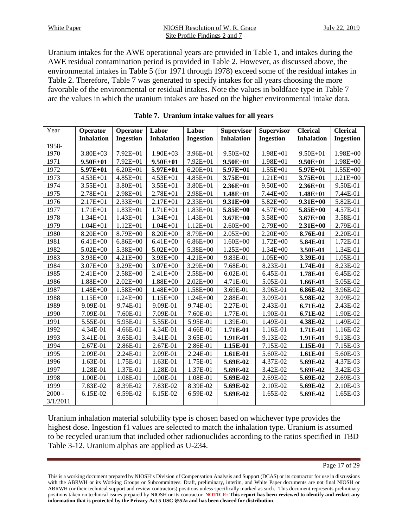Uranium intakes for the AWE operational years are provided in Table 1, and intakes during the AWE residual contamination period is provided in Table 2. However, as discussed above, the environmental intakes in Table 5 (for 1971 through 1978) exceed some of the residual intakes in Table 2. Therefore, Table 7 was generated to specify intakes for all years choosing the more favorable of the environmental or residual intakes. Note the values in boldface type in Table 7 are the values in which the uranium intakes are based on the higher environmental intake data.

<span id="page-16-0"></span>

| Year     | Operator          | Operator         | Labor             | Labor            | <b>Supervisor</b> | <b>Supervisor</b> | <b>Clerical</b>   | <b>Clerical</b>  |
|----------|-------------------|------------------|-------------------|------------------|-------------------|-------------------|-------------------|------------------|
|          | <b>Inhalation</b> | <b>Ingestion</b> | <b>Inhalation</b> | <b>Ingestion</b> | <b>Inhalation</b> | <b>Ingestion</b>  | <b>Inhalation</b> | <b>Ingestion</b> |
| 1958-    |                   |                  |                   |                  |                   |                   |                   |                  |
| 1970     | $3.80E + 03$      | $7.92E + 01$     | $1.90E + 03$      | 3.96E+01         | 9.50E+02          | $1.98E + 01$      | 9.50E+01          | $1.98E + 00$     |
| 1971     | $9.50E + 01$      | 7.92E+01         | $9.50E + 01$      | $7.92E + 01$     | $9.50E + 01$      | $1.98E + 01$      | $9.50E + 01$      | 1.98E+00         |
| 1972     | 5.97E+01          | $6.20E + 01$     | 5.97E+01          | $6.20E + 01$     | 5.97E+01          | $1.55E + 01$      | 5.97E+01          | $1.55E + 00$     |
| 1973     | $4.53E + 01$      | $4.85E + 01$     | 4.53E+01          | $4.85E + 01$     | $3.75E + 01$      | $1.21E + 01$      | $3.75E + 01$      | $1.21E + 00$     |
| 1974     | $3.55E + 01$      | $3.80E + 01$     | $3.55E + 01$      | $3.80E + 01$     | $2.36E + 01$      | $9.50E + 00$      | $2.36E + 01$      | 9.50E-01         |
| 1975     | $2.78E + 01$      | $2.98E + 01$     | 2.78E+01          | $2.98E + 01$     | $1.48E + 01$      | 7.44E+00          | $1.48E + 01$      | 7.44E-01         |
| 1976     | $2.17E + 01$      | 2.33E+01         | $2.17E + 01$      | $2.33E + 01$     | $9.31E + 00$      | 5.82E+00          | $9.31E + 00$      | 5.82E-01         |
| 1977     | $1.71E + 01$      | $1.83E + 01$     | $1.71E + 01$      | $1.83E + 01$     | $5.85E + 00$      | $4.57E + 00$      | $5.85E + 00$      | 4.57E-01         |
| 1978     | $1.34E + 01$      | $1.43E + 01$     | $1.34E + 01$      | $1.43E + 01$     | $3.67E + 00$      | 3.58E+00          | $3.67E + 00$      | 3.58E-01         |
| 1979     | $1.04E + 01$      | $1.12E + 01$     | $1.04E + 01$      | $1.12E + 01$     | $2.60E + 00$      | 2.79E+00          | $2.31E+00$        | 2.79E-01         |
| 1980     | 8.20E+00          | 8.79E+00         | 8.20E+00          | 8.79E+00         | $2.05E + 00$      | 2.20E+00          | 8.76E-01          | 2.20E-01         |
| 1981     | $6.41E + 00$      | $6.86E + 00$     | $6.41E + 00$      | $6.86E + 00$     | $1.60E + 00$      | $1.72E + 00$      | 5.84E-01          | 1.72E-01         |
| 1982     | $5.02E + 00$      | 5.38E+00         | $5.02E + 00$      | 5.38E+00         | $1.25E + 00$      | $1.34E + 00$      | 3.50E-01          | 1.34E-01         |
| 1983     | 3.93E+00          | $4.21E + 00$     | $3.93E + 00$      | $4.21E + 00$     | 9.83E-01          | $1.05E + 00$      | 3.39E-01          | 1.05E-01         |
| 1984     | 3.07E+00          | $3.29E + 00$     | $3.07E + 00$      | $3.29E + 00$     | 7.68E-01          | 8.23E-01          | 1.74E-01          | 8.23E-02         |
| 1985     | $2.41E + 00$      | $2.58E + 00$     | $2.41E + 00$      | $2.58E + 00$     | 6.02E-01          | 6.45E-01          | 1.78E-01          | 6.45E-02         |
| 1986     | $1.88E + 00$      | $2.02E + 00$     | $1.88E + 00$      | $2.02E + 00$     | 4.71E-01          | 5.05E-01          | 1.66E-01          | 5.05E-02         |
| 1987     | 1.48E+00          | $1.58E + 00$     | 1.48E+00          | $1.58E + 00$     | 3.69E-01          | 3.96E-01          | 6.86E-02          | 3.96E-02         |
| 1988     | $1.15E + 00$      | $1.24E + 00$     | $1.15E + 00$      | $1.24E + 00$     | 2.88E-01          | 3.09E-01          | 5.98E-02          | 3.09E-02         |
| 1989     | 9.09E-01          | 9.74E-01         | 9.09E-01          | 9.74E-01         | 2.27E-01          | 2.43E-01          | 6.71E-02          | 2.43E-02         |
| 1990     | 7.09E-01          | 7.60E-01         | 7.09E-01          | 7.60E-01         | 1.77E-01          | 1.90E-01          | 6.71E-02          | 1.90E-02         |
| 1991     | 5.55E-01          | 5.95E-01         | 5.55E-01          | 5.95E-01         | 1.39E-01          | 1.49E-01          | 4.38E-02          | 1.49E-02         |
| 1992     | 4.34E-01          | 4.66E-01         | 4.34E-01          | 4.66E-01         | $1.71E-01$        | 1.16E-01          | 1.71E-01          | 1.16E-02         |
| 1993     | 3.41E-01          | 3.65E-01         | 3.41E-01          | 3.65E-01         | 1.91E-01          | 9.13E-02          | 1.91E-01          | 9.13E-03         |
| 1994     | 2.67E-01          | 2.86E-01         | 2.67E-01          | 2.86E-01         | 1.15E-01          | 7.15E-02          | 1.15E-01          | 7.15E-03         |
| 1995     | 2.09E-01          | 2.24E-01         | 2.09E-01          | 2.24E-01         | 1.61E-01          | 5.60E-02          | 1.61E-01          | 5.60E-03         |
| 1996     | 1.63E-01          | 1.75E-01         | 1.63E-01          | 1.75E-01         | 5.69E-02          | 4.37E-02          | 5.69E-02          | 4.37E-03         |
| 1997     | 1.28E-01          | 1.37E-01         | 1.28E-01          | 1.37E-01         | 5.69E-02          | 3.42E-02          | 5.69E-02          | 3.42E-03         |
| 1998     | 1.00E-01          | 1.08E-01         | 1.00E-01          | 1.08E-01         | 5.69E-02          | 2.69E-02          | 5.69E-02          | 2.69E-03         |
| 1999     | 7.83E-02          | 8.39E-02         | 7.83E-02          | 8.39E-02         | 5.69E-02          | 2.10E-02          | 5.69E-02          | 2.10E-03         |
| $2000 -$ | 6.15E-02          | 6.59E-02         | 6.15E-02          | 6.59E-02         | 5.69E-02          | 1.65E-02          | 5.69E-02          | 1.65E-03         |
| 3/1/2011 |                   |                  |                   |                  |                   |                   |                   |                  |

#### **Table 7. Uranium intake values for all years**

Uranium inhalation material solubility type is chosen based on whichever type provides the highest dose. Ingestion f1 values are selected to match the inhalation type. Uranium is assumed to be recycled uranium that included other radionuclides according to the ratios specified in TBD Table 3-12. Uranium alphas are applied as U-234.

This is a working document prepared by NIOSH's Division of Compensation Analysis and Support (DCAS) or its contractor for use in discussions with the ABRWH or its Working Groups or Subcommittees. Draft, preliminary, interim, and White Paper documents are not final NIOSH or ABRWH (or their technical support and review contractors) positions unless specifically marked as such. This document represents preliminary positions taken on technical issues prepared by NIOSH or its contractor. **NOTICE: This report has been reviewed to identify and redact any information that is protected by the Privacy Act 5 USC §552a and has been cleared for distribution**.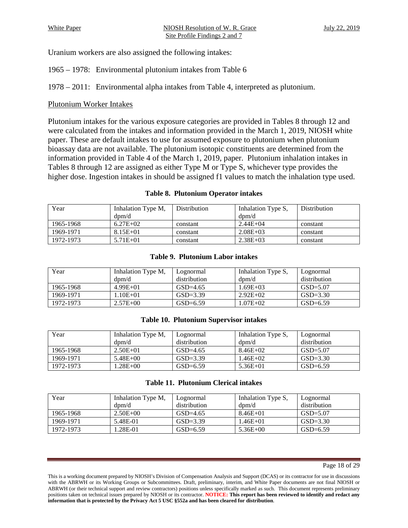Uranium workers are also assigned the following intakes:

1965 – 1978: Environmental plutonium intakes from Table 6

1978 – 2011: Environmental alpha intakes from Table 4, interpreted as plutonium.

# Plutonium Worker Intakes

Plutonium intakes for the various exposure categories are provided in Tables 8 through 12 and were calculated from the intakes and information provided in the March 1, 2019, NIOSH white paper. These are default intakes to use for assumed exposure to plutonium when plutonium bioassay data are not available. The plutonium isotopic constituents are determined from the information provided in Table 4 of the March 1, 2019, paper. Plutonium inhalation intakes in Tables 8 through 12 are assigned as either Type M or Type S, whichever type provides the higher dose. Ingestion intakes in should be assigned f1 values to match the inhalation type used.

#### **Table 8. Plutonium Operator intakes**

<span id="page-17-0"></span>

| Year      | Inhalation Type M, | <b>Distribution</b> | Inhalation Type S, | Distribution |
|-----------|--------------------|---------------------|--------------------|--------------|
|           | $d$ pm/d           |                     | $d$ pm/d           |              |
| 1965-1968 | $6.27E+02$         | constant            | $2.44E + 04$       | constant     |
| 1969-1971 | $8.15E + 01$       | constant            | $2.08E + 03$       | constant     |
| 1972-1973 | $5.71E + 01$       | constant            | $2.38E + 03$       | constant     |

#### **Table 9. Plutonium Labor intakes**

<span id="page-17-1"></span>

| Year      | Inhalation Type M,    | Lognormal    | Inhalation Type S, | Lognormal    |
|-----------|-----------------------|--------------|--------------------|--------------|
|           | $\text{dom}/\text{d}$ | distribution | $d$ pm/d           | distribution |
| 1965-1968 | $4.99E+01$            | $GSD = 4.65$ | $1.69E + 03$       | $GSD = 5.07$ |
| 1969-1971 | $.10E + 01$           | $GSD = 3.39$ | $2.92E+02$         | $GSD = 3.30$ |
| 1972-1973 | $2.57E + 00$          | $GSD=6.59$   | $1.07E + 02$       | $GSD=6.59$   |

#### **Table 10. Plutonium Supervisor intakes**

<span id="page-17-2"></span>

| Year      | Inhalation Type M, | Lognormal    | Inhalation Type S, | Lognormal    |
|-----------|--------------------|--------------|--------------------|--------------|
|           | $d$ pm/d           | distribution | $d$ pm/d           | distribution |
| 1965-1968 | $2.50E + 01$       | $GSD=4.65$   | $8.46E + 02$       | $GSD = 5.07$ |
| 1969-1971 | $5.48E + 00$       | $GSD=3.39$   | 1.46E+02           | $GSD=3.30$   |
| 1972-1973 | $.28E + 00$        | $GSD=6.59$   | $5.36E + 01$       | $GSD=6.59$   |

|  | <b>Table 11. Plutonium Clerical intakes</b> |  |  |
|--|---------------------------------------------|--|--|
|--|---------------------------------------------|--|--|

<span id="page-17-3"></span>

| Year      | Inhalation Type M,<br>$\text{dom}/\text{d}$ | Lognormal<br>distribution | Inhalation Type S,<br>$d$ pm/d | Lognormal<br>distribution |
|-----------|---------------------------------------------|---------------------------|--------------------------------|---------------------------|
| 1965-1968 | $2.50E + 00$                                | $GSD = 4.65$              | $8.46E + 01$                   | $GSD = 5.07$              |
| 1969-1971 | 5.48E-01                                    | $GSD = 3.39$              | 1.46E+01                       | $GSD = 3.30$              |
| 1972-1973 | 1.28E-01                                    | $GSD=6.59$                | $5.36E + 00$                   | $GSD=6.59$                |

This is a working document prepared by NIOSH's Division of Compensation Analysis and Support (DCAS) or its contractor for use in discussions with the ABRWH or its Working Groups or Subcommittees. Draft, preliminary, interim, and White Paper documents are not final NIOSH or ABRWH (or their technical support and review contractors) positions unless specifically marked as such. This document represents preliminary positions taken on technical issues prepared by NIOSH or its contractor. **NOTICE: This report has been reviewed to identify and redact any information that is protected by the Privacy Act 5 USC §552a and has been cleared for distribution**.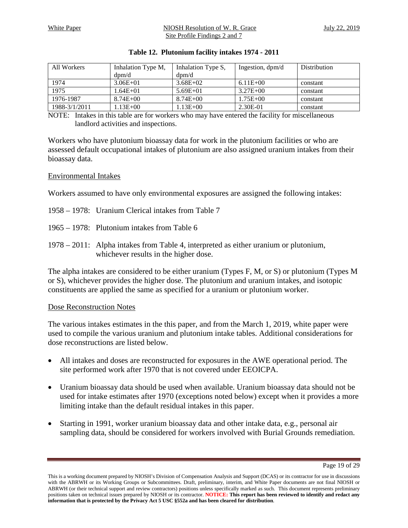#### White Paper The MIOSH Resolution of W. R. Grace The July 22, 2019 Site Profile Findings 2 and 7

<span id="page-18-0"></span>

| All Workers   | Inhalation Type M, | Inhalation Type S, | Ingestion, $dpm/d$ | <b>Distribution</b> |
|---------------|--------------------|--------------------|--------------------|---------------------|
|               | $d$ pm/d           | $d$ pm/d           |                    |                     |
| 1974          | $3.06E + 01$       | $3.68E + 02$       | $6.11E + 00$       | constant            |
| 1975          | 1.64E+01           | $5.69E + 01$       | $3.27E + 00$       | constant            |
| 1976-1987     | $8.74E + 00$       | $8.74E + 00$       | $1.75E + 00$       | constant            |
| 1988-3/1/2011 | $.13E + 00$        | $.13E+00$          | 2.30E-01           | constant            |

#### **Table 12. Plutonium facility intakes 1974 - 2011**

NOTE: Intakes in this table are for workers who may have entered the facility for miscellaneous landlord activities and inspections.

Workers who have plutonium bioassay data for work in the plutonium facilities or who are assessed default occupational intakes of plutonium are also assigned uranium intakes from their bioassay data.

#### Environmental Intakes

Workers assumed to have only environmental exposures are assigned the following intakes:

- 1958 1978: Uranium Clerical intakes from Table 7
- 1965 1978: Plutonium intakes from Table 6
- 1978 2011: Alpha intakes from Table 4, interpreted as either uranium or plutonium, whichever results in the higher dose.

The alpha intakes are considered to be either uranium (Types F, M, or S) or plutonium (Types M or S), whichever provides the higher dose. The plutonium and uranium intakes, and isotopic constituents are applied the same as specified for a uranium or plutonium worker.

#### Dose Reconstruction Notes

The various intakes estimates in the this paper, and from the March 1, 2019, white paper were used to compile the various uranium and plutonium intake tables. Additional considerations for dose reconstructions are listed below.

- All intakes and doses are reconstructed for exposures in the AWE operational period. The site performed work after 1970 that is not covered under EEOICPA.
- Uranium bioassay data should be used when available. Uranium bioassay data should not be used for intake estimates after 1970 (exceptions noted below) except when it provides a more limiting intake than the default residual intakes in this paper.
- Starting in 1991, worker uranium bioassay data and other intake data, e.g., personal air sampling data, should be considered for workers involved with Burial Grounds remediation.

Page 19 of 29

This is a working document prepared by NIOSH's Division of Compensation Analysis and Support (DCAS) or its contractor for use in discussions with the ABRWH or its Working Groups or Subcommittees. Draft, preliminary, interim, and White Paper documents are not final NIOSH or ABRWH (or their technical support and review contractors) positions unless specifically marked as such. This document represents preliminary positions taken on technical issues prepared by NIOSH or its contractor. **NOTICE: This report has been reviewed to identify and redact any information that is protected by the Privacy Act 5 USC §552a and has been cleared for distribution**.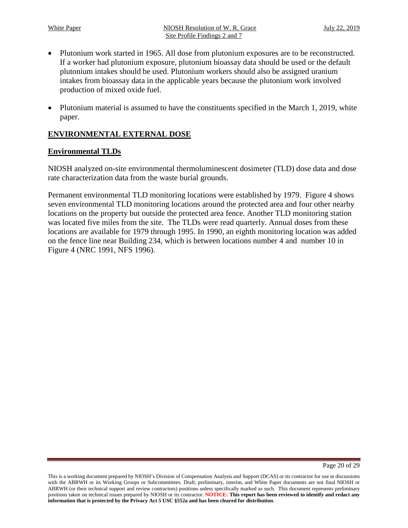- Plutonium work started in 1965. All dose from plutonium exposures are to be reconstructed. If a worker had plutonium exposure, plutonium bioassay data should be used or the default plutonium intakes should be used. Plutonium workers should also be assigned uranium intakes from bioassay data in the applicable years because the plutonium work involved production of mixed oxide fuel.
- Plutonium material is assumed to have the constituents specified in the March 1, 2019, white paper.

# <span id="page-19-0"></span>**ENVIRONMENTAL EXTERNAL DOSE**

# **Environmental TLDs**

NIOSH analyzed on-site environmental thermoluminescent dosimeter (TLD) dose data and dose rate characterization data from the waste burial grounds.

Permanent environmental TLD monitoring locations were established by 1979. Figure 4 shows seven environmental TLD monitoring locations around the protected area and four other nearby locations on the property but outside the protected area fence. Another TLD monitoring station was located five miles from the site. The TLDs were read quarterly. Annual doses from these locations are available for 1979 through 1995. In 1990, an eighth monitoring location was added on the fence line near Building 234, which is between locations number 4 and number 10 in Figure 4 (NRC 1991, NFS 1996).

This is a working document prepared by NIOSH's Division of Compensation Analysis and Support (DCAS) or its contractor for use in discussions with the ABRWH or its Working Groups or Subcommittees. Draft, preliminary, interim, and White Paper documents are not final NIOSH or ABRWH (or their technical support and review contractors) positions unless specifically marked as such. This document represents preliminary positions taken on technical issues prepared by NIOSH or its contractor. **NOTICE: This report has been reviewed to identify and redact any information that is protected by the Privacy Act 5 USC §552a and has been cleared for distribution**.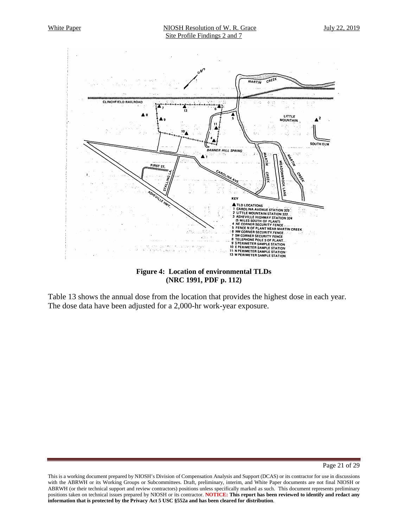

#### **Figure 4: Location of environmental TLDs (NRC 1991, PDF p. 112)**

<span id="page-20-0"></span>Table 13 shows the annual dose from the location that provides the highest dose in each year. The dose data have been adjusted for a 2,000-hr work-year exposure.

Page 21 of 29

This is a working document prepared by NIOSH's Division of Compensation Analysis and Support (DCAS) or its contractor for use in discussions with the ABRWH or its Working Groups or Subcommittees. Draft, preliminary, interim, and White Paper documents are not final NIOSH or ABRWH (or their technical support and review contractors) positions unless specifically marked as such. This document represents preliminary positions taken on technical issues prepared by NIOSH or its contractor. **NOTICE: This report has been reviewed to identify and redact any information that is protected by the Privacy Act 5 USC §552a and has been cleared for distribution**.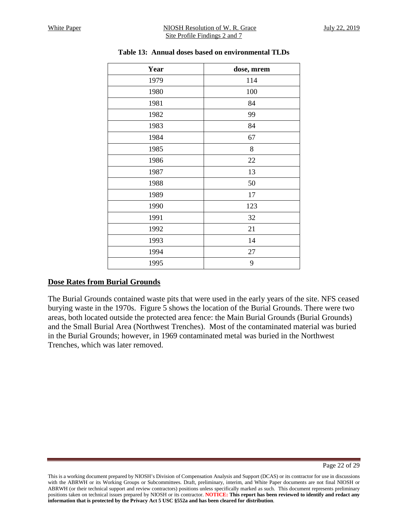<span id="page-21-0"></span>

| Year | dose, mrem |
|------|------------|
| 1979 | 114        |
| 1980 | 100        |
| 1981 | 84         |
| 1982 | 99         |
| 1983 | 84         |
| 1984 | 67         |
| 1985 | 8          |
| 1986 | 22         |
| 1987 | 13         |
| 1988 | 50         |
| 1989 | 17         |
| 1990 | 123        |
| 1991 | 32         |
| 1992 | 21         |
| 1993 | 14         |
| 1994 | 27         |
| 1995 | 9          |

## **Table 13: Annual doses based on environmental TLDs**

# **Dose Rates from Burial Grounds**

The Burial Grounds contained waste pits that were used in the early years of the site. NFS ceased burying waste in the 1970s. Figure 5 shows the location of the Burial Grounds. There were two areas, both located outside the protected area fence: the Main Burial Grounds (Burial Grounds) and the Small Burial Area (Northwest Trenches). Most of the contaminated material was buried in the Burial Grounds; however, in 1969 contaminated metal was buried in the Northwest Trenches, which was later removed.

This is a working document prepared by NIOSH's Division of Compensation Analysis and Support (DCAS) or its contractor for use in discussions with the ABRWH or its Working Groups or Subcommittees. Draft, preliminary, interim, and White Paper documents are not final NIOSH or ABRWH (or their technical support and review contractors) positions unless specifically marked as such. This document represents preliminary positions taken on technical issues prepared by NIOSH or its contractor. **NOTICE: This report has been reviewed to identify and redact any information that is protected by the Privacy Act 5 USC §552a and has been cleared for distribution**.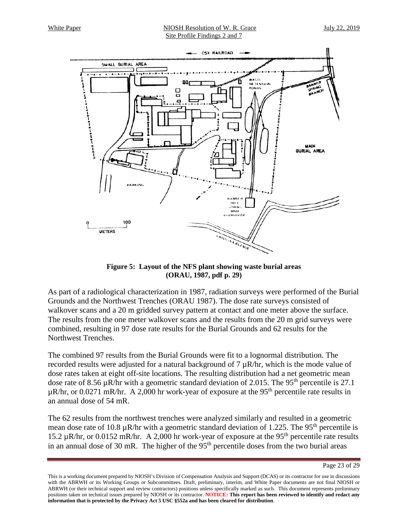#### White Paper The MIOSH Resolution of W. R. Grace The July 22, 2019 Site Profile Findings 2 and 7



**Figure 5: Layout of the NFS plant showing waste burial areas (ORAU, 1987, pdf p. 29)**

<span id="page-22-0"></span>As part of a radiological characterization in 1987, radiation surveys were performed of the Burial Grounds and the Northwest Trenches (ORAU 1987). The dose rate surveys consisted of walkover scans and a 20 m gridded survey pattern at contact and one meter above the surface. The results from the one meter walkover scans and the results from the 20 m grid surveys were combined, resulting in 97 dose rate results for the Burial Grounds and 62 results for the Northwest Trenches.

The combined 97 results from the Burial Grounds were fit to a lognormal distribution. The recorded results were adjusted for a natural background of  $7 \mu R/hr$ , which is the mode value of dose rates taken at eight off-site locations. The resulting distribution had a net geometric mean dose rate of 8.56  $\mu$ R/hr with a geometric standard deviation of 2.015. The 95<sup>th</sup> percentile is 27.1  $\mu$ R/hr, or 0.0271 mR/hr. A 2,000 hr work-year of exposure at the 95<sup>th</sup> percentile rate results in an annual dose of 54 mR.

The 62 results from the northwest trenches were analyzed similarly and resulted in a geometric mean dose rate of 10.8  $\mu$ R/hr with a geometric standard deviation of 1.225. The 95<sup>th</sup> percentile is 15.2 µR/hr, or 0.0152 mR/hr. A 2,000 hr work-year of exposure at the 95th percentile rate results in an annual dose of 30 mR. The higher of the 95<sup>th</sup> percentile doses from the two burial areas

Page 23 of 29

This is a working document prepared by NIOSH's Division of Compensation Analysis and Support (DCAS) or its contractor for use in discussions with the ABRWH or its Working Groups or Subcommittees. Draft, preliminary, interim, and White Paper documents are not final NIOSH or ABRWH (or their technical support and review contractors) positions unless specifically marked as such. This document represents preliminary positions taken on technical issues prepared by NIOSH or its contractor. **NOTICE: This report has been reviewed to identify and redact any information that is protected by the Privacy Act 5 USC §552a and has been cleared for distribution**.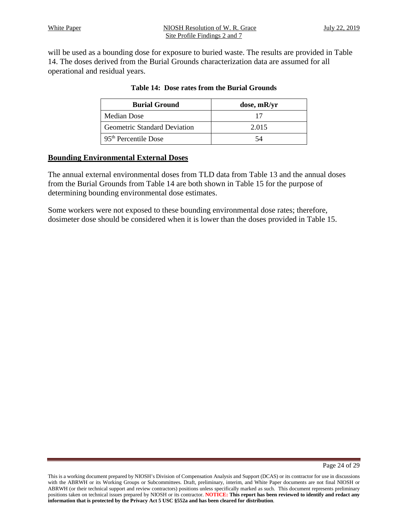<span id="page-23-0"></span>will be used as a bounding dose for exposure to buried waste. The results are provided in Table 14. The doses derived from the Burial Grounds characterization data are assumed for all operational and residual years.

| <b>Burial Ground</b>                | dose, mR/yr |
|-------------------------------------|-------------|
| Median Dose                         |             |
| <b>Geometric Standard Deviation</b> | 2.015       |
| 95 <sup>th</sup> Percentile Dose    | 54          |

# **Table 14: Dose rates from the Burial Grounds**

## **Bounding Environmental External Doses**

The annual external environmental doses from TLD data from Table 13 and the annual doses from the Burial Grounds from Table 14 are both shown in Table 15 for the purpose of determining bounding environmental dose estimates.

Some workers were not exposed to these bounding environmental dose rates; therefore, dosimeter dose should be considered when it is lower than the doses provided in Table 15.

This is a working document prepared by NIOSH's Division of Compensation Analysis and Support (DCAS) or its contractor for use in discussions with the ABRWH or its Working Groups or Subcommittees. Draft, preliminary, interim, and White Paper documents are not final NIOSH or ABRWH (or their technical support and review contractors) positions unless specifically marked as such. This document represents preliminary positions taken on technical issues prepared by NIOSH or its contractor. **NOTICE: This report has been reviewed to identify and redact any information that is protected by the Privacy Act 5 USC §552a and has been cleared for distribution**.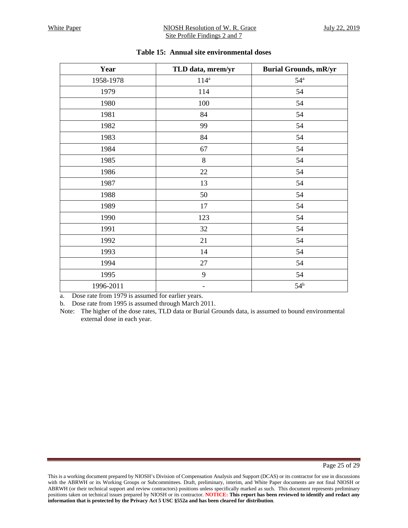#### White Paper NIOSH Resolution of W. R. Grace July 22, 2019 Site Profile Findings 2 and 7

<span id="page-24-0"></span>

| Year      | TLD data, mrem/yr        | <b>Burial Grounds, mR/yr</b> |
|-----------|--------------------------|------------------------------|
| 1958-1978 | $114^a$                  | $54^{\mathrm{a}}$            |
| 1979      | 114                      | 54                           |
| 1980      | 100                      | 54                           |
| 1981      | 84                       | 54                           |
| 1982      | 99                       | 54                           |
| 1983      | 84                       | 54                           |
| 1984      | 67                       | 54                           |
| 1985      | $8\,$                    | 54                           |
| 1986      | $22\,$                   | 54                           |
| 1987      | 13                       | 54                           |
| 1988      | 50                       | 54                           |
| 1989      | 17                       | 54                           |
| 1990      | 123                      | 54                           |
| 1991      | 32                       | 54                           |
| 1992      | 21                       | 54                           |
| 1993      | 14                       | 54                           |
| 1994      | 27                       | 54                           |
| 1995      | 9                        | 54                           |
| 1996-2011 | $\overline{\phantom{0}}$ | 54 <sup>b</sup>              |

#### **Table 15: Annual site environmental doses**

a. Dose rate from 1979 is assumed for earlier years.

b. Dose rate from 1995 is assumed through March 2011.

Note: The higher of the dose rates, TLD data or Burial Grounds data, is assumed to bound environmental external dose in each year.

Page 25 of 29

This is a working document prepared by NIOSH's Division of Compensation Analysis and Support (DCAS) or its contractor for use in discussions with the ABRWH or its Working Groups or Subcommittees. Draft, preliminary, interim, and White Paper documents are not final NIOSH or ABRWH (or their technical support and review contractors) positions unless specifically marked as such. This document represents preliminary positions taken on technical issues prepared by NIOSH or its contractor. **NOTICE: This report has been reviewed to identify and redact any information that is protected by the Privacy Act 5 USC §552a and has been cleared for distribution**.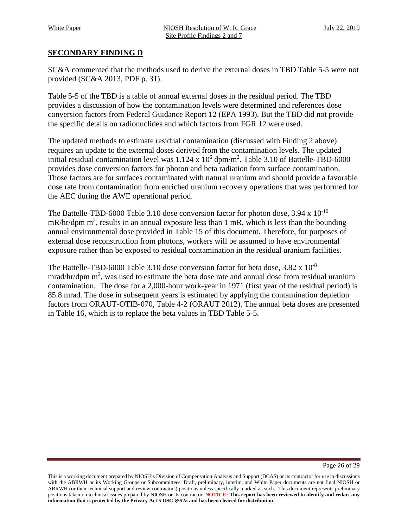# <span id="page-25-0"></span>**SECONDARY FINDING D**

SC&A commented that the methods used to derive the external doses in TBD Table 5-5 were not provided (SC&A 2013, PDF p. 31).

Table 5-5 of the TBD is a table of annual external doses in the residual period. The TBD provides a discussion of how the contamination levels were determined and references dose conversion factors from Federal Guidance Report 12 (EPA 1993). But the TBD did not provide the specific details on radionuclides and which factors from FGR 12 were used.

The updated methods to estimate residual contamination (discussed with Finding 2 above) requires an update to the external doses derived from the contamination levels. The updated initial residual contamination level was  $1.124 \times 10^6$  dpm/m<sup>2</sup>. Table 3.10 of Battelle-TBD-6000 provides dose conversion factors for photon and beta radiation from surface contamination. Those factors are for surfaces contaminated with natural uranium and should provide a favorable dose rate from contamination from enriched uranium recovery operations that was performed for the AEC during the AWE operational period.

The Battelle-TBD-6000 Table 3.10 dose conversion factor for photon dose,  $3.94 \times 10^{-10}$  $mR/hr/dpm m<sup>2</sup>$ , results in an annual exposure less than 1 mR, which is less than the bounding annual environmental dose provided in Table 15 of this document. Therefore, for purposes of external dose reconstruction from photons, workers will be assumed to have environmental exposure rather than be exposed to residual contamination in the residual uranium facilities.

The Battelle-TBD-6000 Table 3.10 dose conversion factor for beta dose, 3.82 x 10<sup>-8</sup> mrad/hr/dpm  $m^2$ , was used to estimate the beta dose rate and annual dose from residual uranium contamination. The dose for a 2,000-hour work-year in 1971 (first year of the residual period) is 85.8 mrad. The dose in subsequent years is estimated by applying the contamination depletion factors from ORAUT-OTIB-070, Table 4-2 (ORAUT 2012). The annual beta doses are presented in Table 16, which is to replace the beta values in TBD Table 5-5.

This is a working document prepared by NIOSH's Division of Compensation Analysis and Support (DCAS) or its contractor for use in discussions with the ABRWH or its Working Groups or Subcommittees. Draft, preliminary, interim, and White Paper documents are not final NIOSH or ABRWH (or their technical support and review contractors) positions unless specifically marked as such. This document represents preliminary positions taken on technical issues prepared by NIOSH or its contractor. **NOTICE: This report has been reviewed to identify and redact any information that is protected by the Privacy Act 5 USC §552a and has been cleared for distribution**.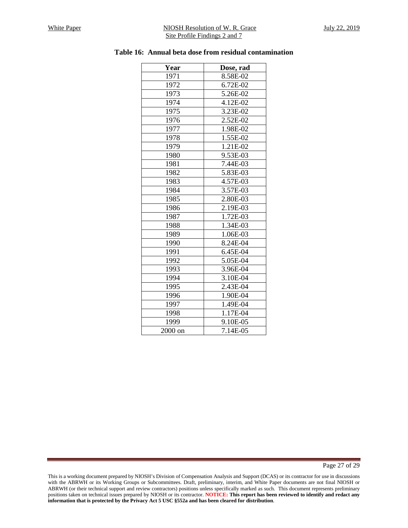#### <span id="page-26-0"></span>White Paper NIOSH Resolution of W. R. Grace July 22, 2019 Site Profile Findings 2 and 7

| Dose, rad |
|-----------|
| 8.58E-02  |
| 6.72E-02  |
| 5.26E-02  |
| 4.12E-02  |
| 3.23E-02  |
| 2.52E-02  |
| 1.98E-02  |
| 1.55E-02  |
| 1.21E-02  |
| 9.53E-03  |
| 7.44E-03  |
| 5.83E-03  |
| 4.57E-03  |
| 3.57E-03  |
| 2.80E-03  |
| 2.19E-03  |
| 1.72E-03  |
| 1.34E-03  |
| 1.06E-03  |
| 8.24E-04  |
| 6.45E-04  |
| 5.05E-04  |
| 3.96E-04  |
| 3.10E-04  |
| 2.43E-04  |
| 1.90E-04  |
| 1.49E-04  |
| 1.17E-04  |
| 9.10E-05  |
| 7.14E-05  |
|           |

#### **Table 16: Annual beta dose from residual contamination**

Page 27 of 29

This is a working document prepared by NIOSH's Division of Compensation Analysis and Support (DCAS) or its contractor for use in discussions with the ABRWH or its Working Groups or Subcommittees. Draft, preliminary, interim, and White Paper documents are not final NIOSH or ABRWH (or their technical support and review contractors) positions unless specifically marked as such. This document represents preliminary positions taken on technical issues prepared by NIOSH or its contractor. **NOTICE: This report has been reviewed to identify and redact any information that is protected by the Privacy Act 5 USC §552a and has been cleared for distribution**.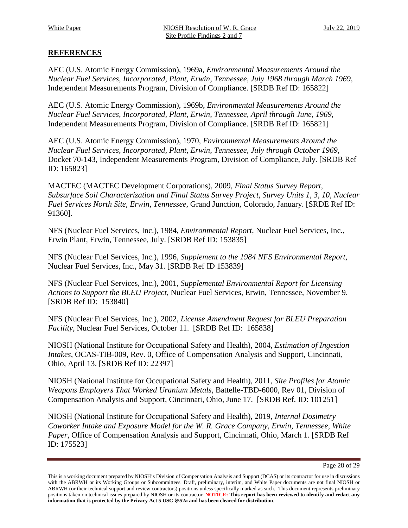# <span id="page-27-0"></span>**REFERENCES**

AEC (U.S. Atomic Energy Commission), 1969a, *Environmental Measurements Around the Nuclear Fuel Services, Incorporated, Plant, Erwin, Tennessee, July 1968 through March 1969*, Independent Measurements Program, Division of Compliance. [SRDB Ref ID: 165822]

AEC (U.S. Atomic Energy Commission), 1969b, *Environmental Measurements Around the Nuclear Fuel Services, Incorporated, Plant, Erwin, Tennessee, April through June, 1969*, Independent Measurements Program, Division of Compliance. [SRDB Ref ID: 165821]

AEC (U.S. Atomic Energy Commission), 1970, *Environmental Measurements Around the Nuclear Fuel Services, Incorporated, Plant, Erwin, Tennessee, July through October 1969*, Docket 70-143, Independent Measurements Program, Division of Compliance, July. [SRDB Ref ID: 165823]

MACTEC (MACTEC Development Corporations), 2009, *Final Status Survey Report, Subsurface Soil Characterization and Final Status Survey Project, Survey Units 1, 3, 10, Nuclear Fuel Services North Site, Erwin, Tennessee*, Grand Junction, Colorado, January. [SRDE Ref ID: 91360].

NFS (Nuclear Fuel Services, Inc.), 1984, *Environmental Report*, Nuclear Fuel Services, Inc., Erwin Plant, Erwin, Tennessee, July. [SRDB Ref ID: 153835]

NFS (Nuclear Fuel Services, Inc.), 1996, *Supplement to the 1984 NFS Environmental Report*, Nuclear Fuel Services, Inc., May 31. [SRDB Ref ID 153839]

NFS (Nuclear Fuel Services, Inc.), 2001, *Supplemental Environmental Report for Licensing Actions to Support the BLEU Project*, Nuclear Fuel Services, Erwin, Tennessee, November 9. [SRDB Ref ID: 153840]

NFS (Nuclear Fuel Services, Inc.), 2002, *License Amendment Request for BLEU Preparation Facility*, Nuclear Fuel Services, October 11. [SRDB Ref ID: 165838]

NIOSH (National Institute for Occupational Safety and Health), 2004, *Estimation of Ingestion Intakes*, OCAS-TIB-009, Rev. 0, Office of Compensation Analysis and Support, Cincinnati, Ohio, April 13. [SRDB Ref ID: 22397]

NIOSH (National Institute for Occupational Safety and Health), 2011, *Site Profiles for Atomic Weapons Employers That Worked Uranium Metals*, Battelle-TBD-6000, Rev 01, Division of Compensation Analysis and Support, Cincinnati, Ohio, June 17. [SRDB Ref. ID: 101251]

NIOSH (National Institute for Occupational Safety and Health), 2019, *Internal Dosimetry Coworker Intake and Exposure Model for the W. R. Grace Company, Erwin, Tennessee*, *White Paper*, Office of Compensation Analysis and Support, Cincinnati, Ohio, March 1. [SRDB Ref ID: 175523]

Page 28 of 29

This is a working document prepared by NIOSH's Division of Compensation Analysis and Support (DCAS) or its contractor for use in discussions with the ABRWH or its Working Groups or Subcommittees. Draft, preliminary, interim, and White Paper documents are not final NIOSH or ABRWH (or their technical support and review contractors) positions unless specifically marked as such. This document represents preliminary positions taken on technical issues prepared by NIOSH or its contractor. **NOTICE: This report has been reviewed to identify and redact any information that is protected by the Privacy Act 5 USC §552a and has been cleared for distribution**.